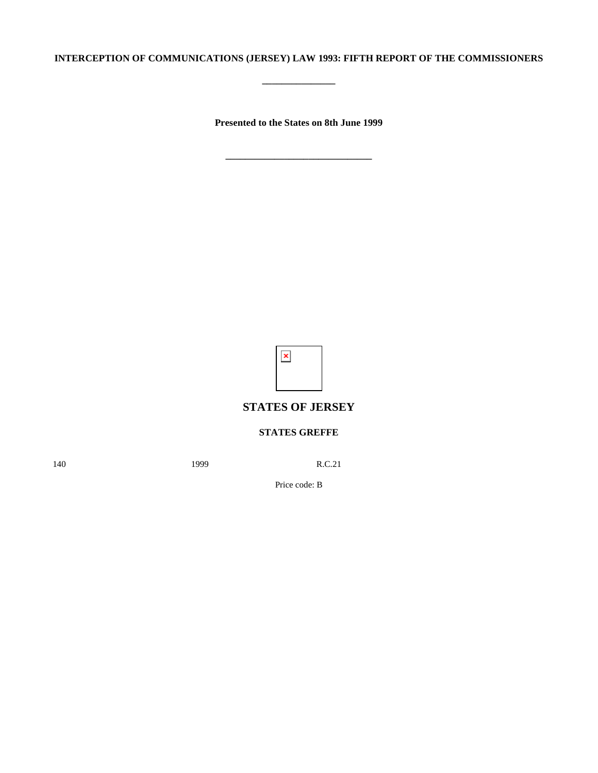## **INTERCEPTION OF COMMUNICATIONS (JERSEY) LAW 1993: FIFTH REPORT OF THE COMMISSIONERS**

**\_\_\_\_\_\_\_\_\_\_\_\_\_\_\_**

**Presented to the States on 8th June 1999**

 $\pmb{\times}$ 

# **STATES OF JERSEY**

## **STATES GREFFE**

140 **1999** R.C.21

Price code: B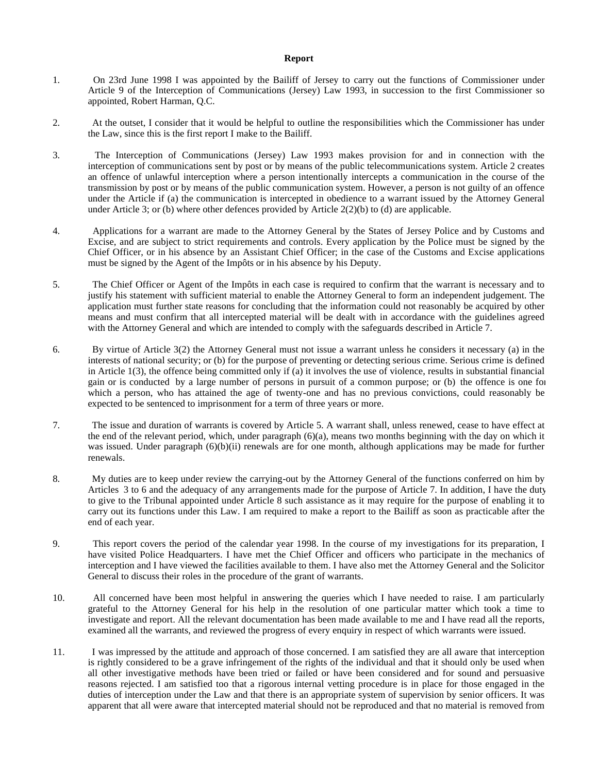#### **Report**

- 1. On 23rd June 1998 I was appointed by the Bailiff of Jersey to carry out the functions of Commissioner under Article 9 of the Interception of Communications (Jersey) Law 1993, in succession to the first Commissioner so appointed, Robert Harman, Q.C.
- 2. At the outset, I consider that it would be helpful to outline the responsibilities which the Commissioner has under the Law, since this is the first report I make to the Bailiff.
- 3. The Interception of Communications (Jersey) Law 1993 makes provision for and in connection with the interception of communications sent by post or by means of the public telecommunications system. Article 2 creates an offence of unlawful interception where a person intentionally intercepts a communication in the course of the transmission by post or by means of the public communication system. However, a person is not guilty of an offence under the Article if (a) the communication is intercepted in obedience to a warrant issued by the Attorney General under Article 3; or (b) where other defences provided by Article 2(2)(b) to (d) are applicable.
- 4. Applications for a warrant are made to the Attorney General by the States of Jersey Police and by Customs and Excise, and are subject to strict requirements and controls. Every application by the Police must be signed by the Chief Officer, or in his absence by an Assistant Chief Officer; in the case of the Customs and Excise applications must be signed by the Agent of the Impôts or in his absence by his Deputy.
- 5. The Chief Officer or Agent of the Impôts in each case is required to confirm that the warrant is necessary and to justify his statement with sufficient material to enable the Attorney General to form an independent judgement. The application must further state reasons for concluding that the information could not reasonably be acquired by other means and must confirm that all intercepted material will be dealt with in accordance with the guidelines agreed with the Attorney General and which are intended to comply with the safeguards described in Article 7.
- 6. By virtue of Article 3(2) the Attorney General must not issue a warrant unless he considers it necessary (a) in the interests of national security; or (b) for the purpose of preventing or detecting serious crime. Serious crime is defined in Article 1(3), the offence being committed only if (a) it involves the use of violence, results in substantial financial gain or is conducted by a large number of persons in pursuit of a common purpose; or (b) the offence is one for which a person, who has attained the age of twenty-one and has no previous convictions, could reasonably be expected to be sentenced to imprisonment for a term of three years or more.
- 7. The issue and duration of warrants is covered by Article 5. A warrant shall, unless renewed, cease to have effect at the end of the relevant period, which, under paragraph (6)(a), means two months beginning with the day on which it was issued. Under paragraph (6)(b)(ii) renewals are for one month, although applications may be made for further renewals.
- 8. My duties are to keep under review the carrying-out by the Attorney General of the functions conferred on him by Articles 3 to 6 and the adequacy of any arrangements made for the purpose of Article 7. In addition, I have the duty to give to the Tribunal appointed under Article 8 such assistance as it may require for the purpose of enabling it to carry out its functions under this Law. I am required to make a report to the Bailiff as soon as practicable after the end of each year.
- 9. This report covers the period of the calendar year 1998. In the course of my investigations for its preparation, I have visited Police Headquarters. I have met the Chief Officer and officers who participate in the mechanics of interception and I have viewed the facilities available to them. I have also met the Attorney General and the Solicitor General to discuss their roles in the procedure of the grant of warrants.
- 10. All concerned have been most helpful in answering the queries which I have needed to raise. I am particularly grateful to the Attorney General for his help in the resolution of one particular matter which took a time to investigate and report. All the relevant documentation has been made available to me and I have read all the reports, examined all the warrants, and reviewed the progress of every enquiry in respect of which warrants were issued.
- 11. I was impressed by the attitude and approach of those concerned. I am satisfied they are all aware that interception is rightly considered to be a grave infringement of the rights of the individual and that it should only be used when all other investigative methods have been tried or failed or have been considered and for sound and persuasive reasons rejected. I am satisfied too that a rigorous internal vetting procedure is in place for those engaged in the duties of interception under the Law and that there is an appropriate system of supervision by senior officers. It was apparent that all were aware that intercepted material should not be reproduced and that no material is removed from